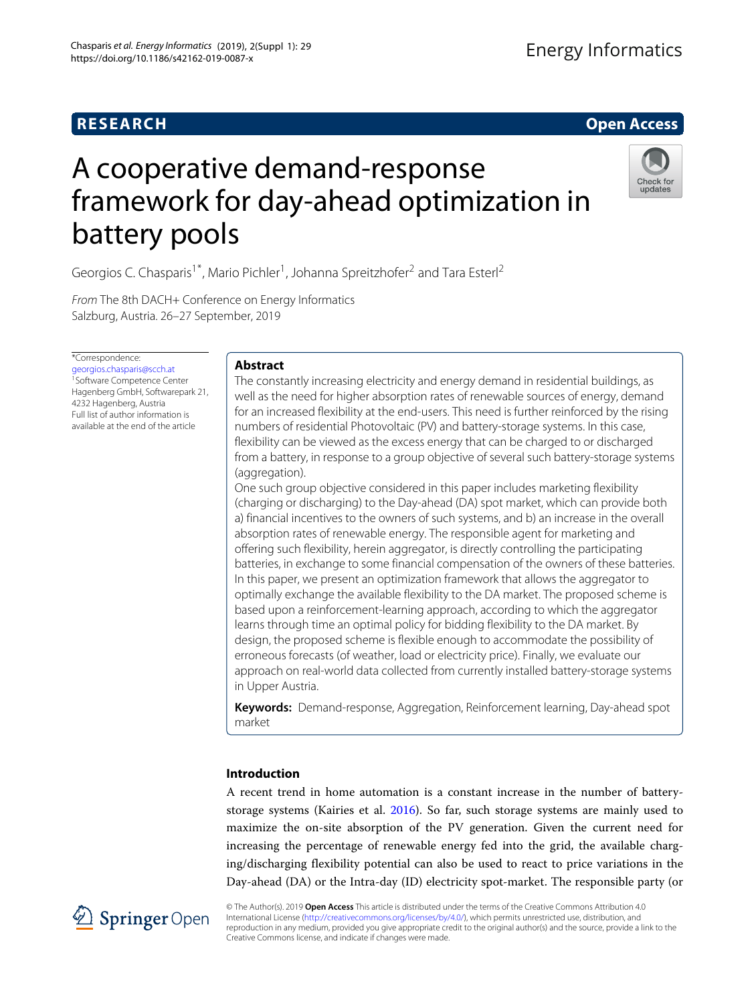## **RESEARCH Open Access**

# A cooperative demand-response framework for day-ahead optimization in battery pools



Georgios C. Chasparis<sup>1\*</sup>, Mario Pichler<sup>1</sup>, Johanna Spreitzhofer<sup>2</sup> and Tara Esterl<sup>2</sup>

From The 8th DACH+ Conference on Energy Informatics Salzburg, Austria. 26–27 September, 2019

\*Correspondence:

[georgios.chasparis@scch.at](mailto: georgios.chasparis@scch.at) 1Software Competence Center Hagenberg GmbH, Softwarepark 21, 4232 Hagenberg, Austria Full list of author information is available at the end of the article

### **Abstract**

The constantly increasing electricity and energy demand in residential buildings, as well as the need for higher absorption rates of renewable sources of energy, demand for an increased flexibility at the end-users. This need is further reinforced by the rising numbers of residential Photovoltaic (PV) and battery-storage systems. In this case, flexibility can be viewed as the excess energy that can be charged to or discharged from a battery, in response to a group objective of several such battery-storage systems (aggregation).

One such group objective considered in this paper includes marketing flexibility (charging or discharging) to the Day-ahead (DA) spot market, which can provide both a) financial incentives to the owners of such systems, and b) an increase in the overall absorption rates of renewable energy. The responsible agent for marketing and offering such flexibility, herein aggregator, is directly controlling the participating batteries, in exchange to some financial compensation of the owners of these batteries. In this paper, we present an optimization framework that allows the aggregator to optimally exchange the available flexibility to the DA market. The proposed scheme is based upon a reinforcement-learning approach, according to which the aggregator learns through time an optimal policy for bidding flexibility to the DA market. By design, the proposed scheme is flexible enough to accommodate the possibility of erroneous forecasts (of weather, load or electricity price). Finally, we evaluate our approach on real-world data collected from currently installed battery-storage systems in Upper Austria.

**Keywords:** Demand-response, Aggregation, Reinforcement learning, Day-ahead spot market

### **Introduction**

A recent trend in home automation is a constant increase in the number of batterystorage systems (Kairies et al. [2016\)](#page-16-0). So far, such storage systems are mainly used to maximize the on-site absorption of the PV generation. Given the current need for increasing the percentage of renewable energy fed into the grid, the available charging/discharging flexibility potential can also be used to react to price variations in the Day-ahead (DA) or the Intra-day (ID) electricity spot-market. The responsible party (or



© The Author(s). 2019 **Open Access** This article is distributed under the terms of the Creative Commons Attribution 4.0 International License [\(http://creativecommons.org/licenses/by/4.0/\)](http://creativecommons.org/licenses/by/4.0/), which permits unrestricted use, distribution, and reproduction in any medium, provided you give appropriate credit to the original author(s) and the source, provide a link to the Creative Commons license, and indicate if changes were made.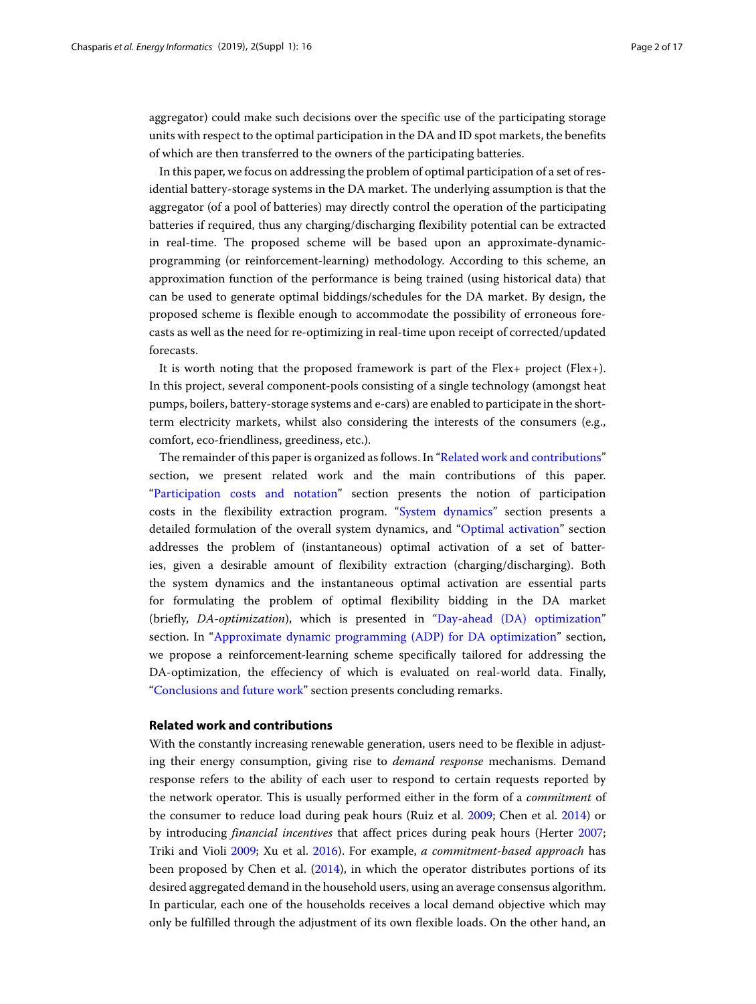aggregator) could make such decisions over the specific use of the participating storage units with respect to the optimal participation in the DA and ID spot markets, the benefits of which are then transferred to the owners of the participating batteries.

In this paper, we focus on addressing the problem of optimal participation of a set of residential battery-storage systems in the DA market. The underlying assumption is that the aggregator (of a pool of batteries) may directly control the operation of the participating batteries if required, thus any charging/discharging flexibility potential can be extracted in real-time. The proposed scheme will be based upon an approximate-dynamicprogramming (or reinforcement-learning) methodology. According to this scheme, an approximation function of the performance is being trained (using historical data) that can be used to generate optimal biddings/schedules for the DA market. By design, the proposed scheme is flexible enough to accommodate the possibility of erroneous forecasts as well as the need for re-optimizing in real-time upon receipt of corrected/updated forecasts.

It is worth noting that the proposed framework is part of the Flex+ project (Flex+). In this project, several component-pools consisting of a single technology (amongst heat pumps, boilers, battery-storage systems and e-cars) are enabled to participate in the shortterm electricity markets, whilst also considering the interests of the consumers (e.g., comfort, eco-friendliness, greediness, etc.).

The remainder of this paper is organized as follows. In ["Related work and contributions"](#page-1-0) section, we present related work and the main contributions of this paper. ["Participation costs and notation"](#page-3-0) section presents the notion of participation costs in the flexibility extraction program. ["System dynamics"](#page-4-0) section presents a detailed formulation of the overall system dynamics, and ["Optimal activation"](#page-6-0) section addresses the problem of (instantaneous) optimal activation of a set of batteries, given a desirable amount of flexibility extraction (charging/discharging). Both the system dynamics and the instantaneous optimal activation are essential parts for formulating the problem of optimal flexibility bidding in the DA market (briefly, *DA-optimization*), which is presented in ["Day-ahead \(DA\) optimization"](#page-9-0) section. In ["Approximate dynamic programming \(ADP\) for DA optimization"](#page-10-0) section, we propose a reinforcement-learning scheme specifically tailored for addressing the DA-optimization, the effeciency of which is evaluated on real-world data. Finally, ["Conclusions and future work"](#page-15-0) section presents concluding remarks.

### <span id="page-1-0"></span>**Related work and contributions**

With the constantly increasing renewable generation, users need to be flexible in adjusting their energy consumption, giving rise to *demand response* mechanisms. Demand response refers to the ability of each user to respond to certain requests reported by the network operator. This is usually performed either in the form of a *commitment* of the consumer to reduce load during peak hours (Ruiz et al. [2009;](#page-16-1) Chen et al. [2014\)](#page-16-2) or by introducing *financial incentives* that affect prices during peak hours (Herter [2007;](#page-16-3) Triki and Violi [2009;](#page-16-4) Xu et al. [2016\)](#page-16-5). For example, *a commitment-based approach* has been proposed by Chen et al. [\(2014\)](#page-16-2), in which the operator distributes portions of its desired aggregated demand in the household users, using an average consensus algorithm. In particular, each one of the households receives a local demand objective which may only be fulfilled through the adjustment of its own flexible loads. On the other hand, an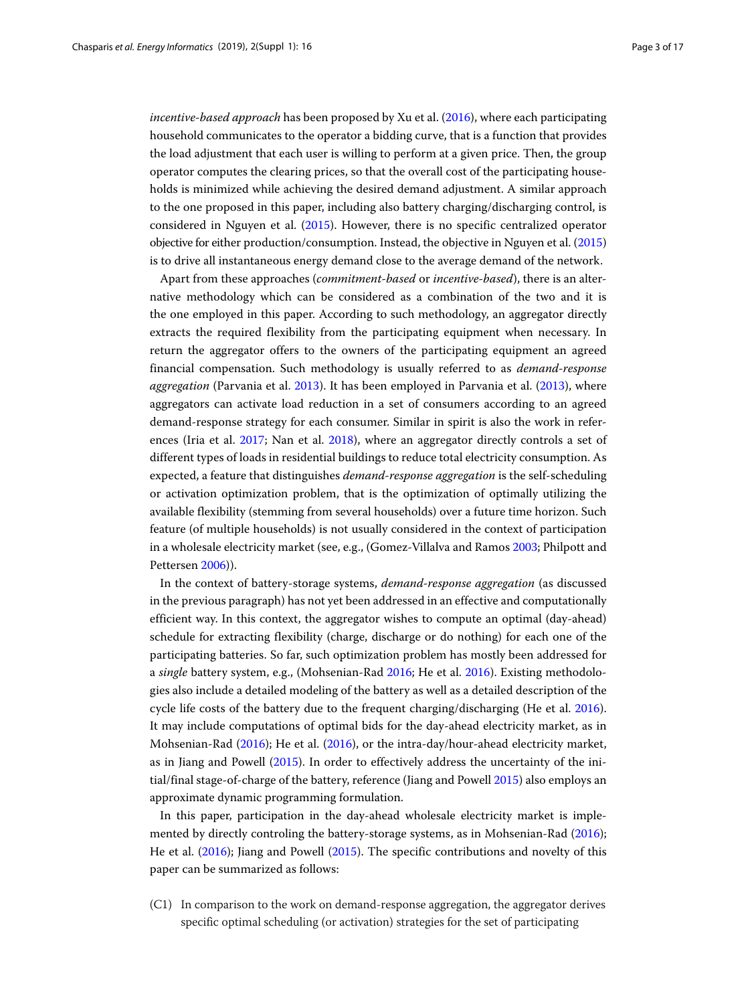*incentive-based approach* has been proposed by Xu et al. [\(2016\)](#page-16-5), where each participating household communicates to the operator a bidding curve, that is a function that provides the load adjustment that each user is willing to perform at a given price. Then, the group operator computes the clearing prices, so that the overall cost of the participating households is minimized while achieving the desired demand adjustment. A similar approach to the one proposed in this paper, including also battery charging/discharging control, is considered in Nguyen et al. [\(2015\)](#page-16-6). However, there is no specific centralized operator objective for either production/consumption. Instead, the objective in Nguyen et al. [\(2015\)](#page-16-6) is to drive all instantaneous energy demand close to the average demand of the network.

Apart from these approaches (*commitment-based* or *incentive-based*), there is an alternative methodology which can be considered as a combination of the two and it is the one employed in this paper. According to such methodology, an aggregator directly extracts the required flexibility from the participating equipment when necessary. In return the aggregator offers to the owners of the participating equipment an agreed financial compensation. Such methodology is usually referred to as *demand-response aggregation* (Parvania et al. [2013\)](#page-16-7). It has been employed in Parvania et al. [\(2013\)](#page-16-7), where aggregators can activate load reduction in a set of consumers according to an agreed demand-response strategy for each consumer. Similar in spirit is also the work in references (Iria et al. [2017;](#page-16-8) Nan et al. [2018\)](#page-16-9), where an aggregator directly controls a set of different types of loads in residential buildings to reduce total electricity consumption. As expected, a feature that distinguishes *demand-response aggregation* is the self-scheduling or activation optimization problem, that is the optimization of optimally utilizing the available flexibility (stemming from several households) over a future time horizon. Such feature (of multiple households) is not usually considered in the context of participation in a wholesale electricity market (see, e.g., (Gomez-Villalva and Ramos [2003;](#page-16-10) Philpott and Pettersen [2006\)](#page-16-11)).

In the context of battery-storage systems, *demand-response aggregation* (as discussed in the previous paragraph) has not yet been addressed in an effective and computationally efficient way. In this context, the aggregator wishes to compute an optimal (day-ahead) schedule for extracting flexibility (charge, discharge or do nothing) for each one of the participating batteries. So far, such optimization problem has mostly been addressed for a *single* battery system, e.g., (Mohsenian-Rad [2016;](#page-16-12) He et al. [2016\)](#page-16-13). Existing methodologies also include a detailed modeling of the battery as well as a detailed description of the cycle life costs of the battery due to the frequent charging/discharging (He et al. [2016\)](#page-16-13). It may include computations of optimal bids for the day-ahead electricity market, as in Mohsenian-Rad [\(2016\)](#page-16-12); He et al. [\(2016\)](#page-16-13), or the intra-day/hour-ahead electricity market, as in Jiang and Powell [\(2015\)](#page-16-14). In order to effectively address the uncertainty of the initial/final stage-of-charge of the battery, reference (Jiang and Powell [2015\)](#page-16-14) also employs an approximate dynamic programming formulation.

In this paper, participation in the day-ahead wholesale electricity market is implemented by directly controling the battery-storage systems, as in Mohsenian-Rad [\(2016\)](#page-16-12); He et al. [\(2016\)](#page-16-13); Jiang and Powell [\(2015\)](#page-16-14). The specific contributions and novelty of this paper can be summarized as follows:

(C1) In comparison to the work on demand-response aggregation, the aggregator derives specific optimal scheduling (or activation) strategies for the set of participating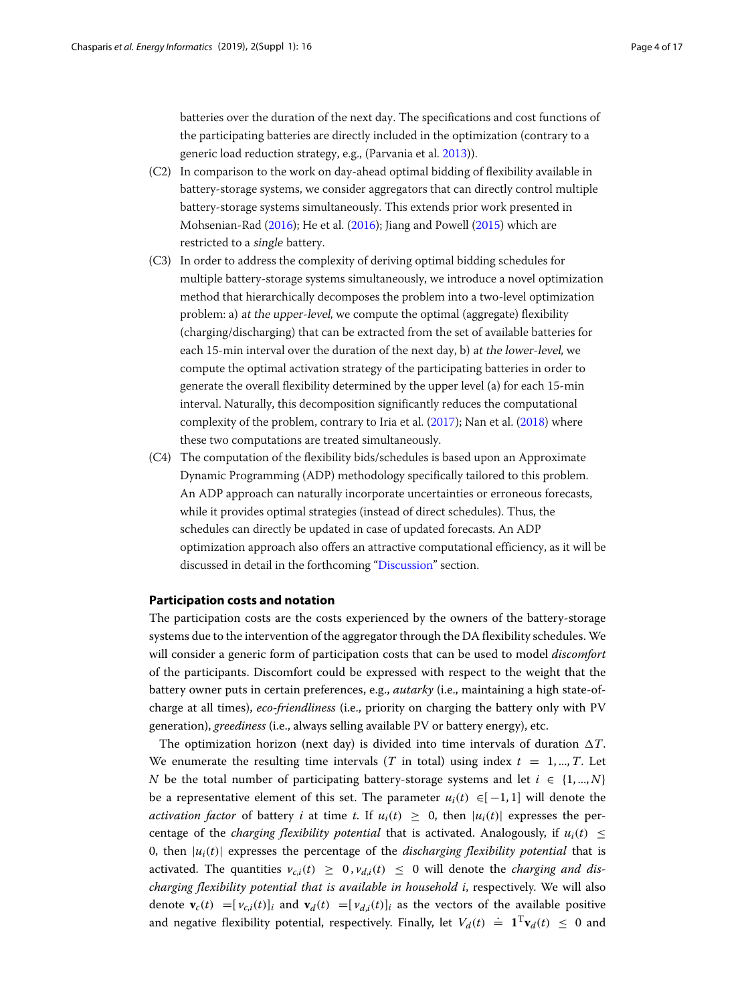batteries over the duration of the next day. The specifications and cost functions of the participating batteries are directly included in the optimization (contrary to a generic load reduction strategy, e.g., (Parvania et al. [2013\)](#page-16-7)).

- (C2) In comparison to the work on day-ahead optimal bidding of flexibility available in battery-storage systems, we consider aggregators that can directly control multiple battery-storage systems simultaneously. This extends prior work presented in Mohsenian-Rad [\(2016\)](#page-16-12); He et al. [\(2016\)](#page-16-13); Jiang and Powell [\(2015\)](#page-16-14) which are restricted to a single battery.
- (C3) In order to address the complexity of deriving optimal bidding schedules for multiple battery-storage systems simultaneously, we introduce a novel optimization method that hierarchically decomposes the problem into a two-level optimization problem: a) at the upper-level, we compute the optimal (aggregate) flexibility (charging/discharging) that can be extracted from the set of available batteries for each 15-min interval over the duration of the next day, b) at the lower-level, we compute the optimal activation strategy of the participating batteries in order to generate the overall flexibility determined by the upper level (a) for each 15-min interval. Naturally, this decomposition significantly reduces the computational complexity of the problem, contrary to Iria et al. [\(2017\)](#page-16-8); Nan et al. [\(2018\)](#page-16-9) where these two computations are treated simultaneously.
- (C4) The computation of the flexibility bids/schedules is based upon an Approximate Dynamic Programming (ADP) methodology specifically tailored to this problem. An ADP approach can naturally incorporate uncertainties or erroneous forecasts, while it provides optimal strategies (instead of direct schedules). Thus, the schedules can directly be updated in case of updated forecasts. An ADP optimization approach also offers an attractive computational efficiency, as it will be discussed in detail in the forthcoming ["Discussion"](#page-12-0) section.

### <span id="page-3-0"></span>**Participation costs and notation**

The participation costs are the costs experienced by the owners of the battery-storage systems due to the intervention of the aggregator through the DA flexibility schedules. We will consider a generic form of participation costs that can be used to model *discomfort* of the participants. Discomfort could be expressed with respect to the weight that the battery owner puts in certain preferences, e.g., *autarky* (i.e., maintaining a high state-ofcharge at all times), *eco-friendliness* (i.e., priority on charging the battery only with PV generation), *greediness* (i.e., always selling available PV or battery energy), etc.

The optimization horizon (next day) is divided into time intervals of duration  $\Delta T$ . We enumerate the resulting time intervals (*T* in total) using index  $t = 1, ..., T$ . Let *N* be the total number of participating battery-storage systems and let  $i \in \{1, ..., N\}$ be a representative element of this set. The parameter  $u_i(t) \in [-1,1]$  will denote the *activation factor* of battery *i* at time *t*. If  $u_i(t) \geq 0$ , then  $|u_i(t)|$  expresses the percentage of the *charging flexibility potential* that is activated. Analogously, if  $u_i(t)$  < 0, then  $|u_i(t)|$  expresses the percentage of the *discharging flexibility potential* that is activated. The quantities  $v_{c,i}(t) \geq 0$ ,  $v_{d,i}(t) \leq 0$  will denote the *charging and discharging flexibility potential that is available in household i*, respectively. We will also denote  $\mathbf{v}_c(t) = [v_{c,i}(t)]_i$  and  $\mathbf{v}_d(t) = [v_{d,i}(t)]_i$  as the vectors of the available positive and negative flexibility potential, respectively. Finally, let  $V_d(t) \doteq \mathbf{1}^T \mathbf{v}_d(t) \leq 0$  and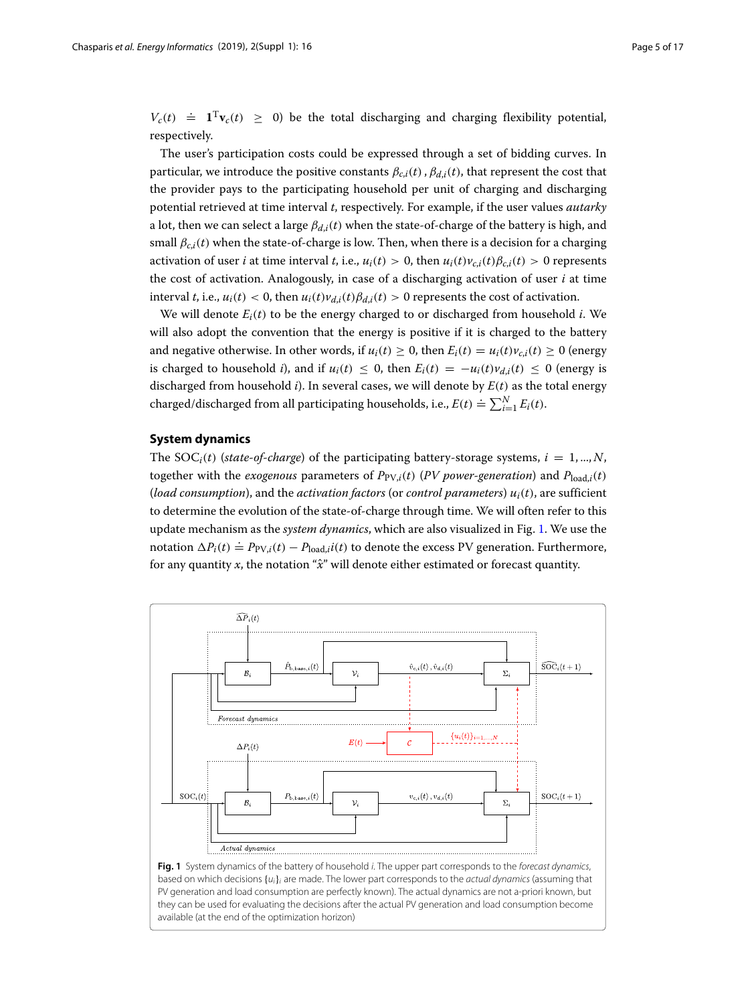$V_c(t) \doteq \mathbf{1}^T \mathbf{v}_c(t) \geq 0$ ) be the total discharging and charging flexibility potential, respectively.

The user's participation costs could be expressed through a set of bidding curves. In particular, we introduce the positive constants  $\beta_{c,i}(t)$ ,  $\beta_{d,i}(t)$ , that represent the cost that the provider pays to the participating household per unit of charging and discharging potential retrieved at time interval *t*, respectively. For example, if the user values *autarky* a lot, then we can select a large  $\beta_{d,i}(t)$  when the state-of-charge of the battery is high, and small  $\beta_{c,i}(t)$  when the state-of-charge is low. Then, when there is a decision for a charging activation of user *i* at time interval *t*, i.e.,  $u_i(t) > 0$ , then  $u_i(t)v_{c,i}(t)Bc_{i}(t) > 0$  represents the cost of activation. Analogously, in case of a discharging activation of user *i* at time interval *t*, i.e.,  $u_i(t) < 0$ , then  $u_i(t)v_{d,i}(t) \beta_{d,i}(t) > 0$  represents the cost of activation.

We will denote  $E_i(t)$  to be the energy charged to or discharged from household *i*. We will also adopt the convention that the energy is positive if it is charged to the battery and negative otherwise. In other words, if  $u_i(t) \geq 0$ , then  $E_i(t) = u_i(t)v_{c,i}(t) \geq 0$  (energy is charged to household *i*), and if  $u_i(t) \leq 0$ , then  $E_i(t) = -u_i(t)v_{d,i}(t) \leq 0$  (energy is discharged from household  $i$ ). In several cases, we will denote by  $E(t)$  as the total energy charged/discharged from all participating households, i.e.,  $E(t) \doteq \sum_{i=1}^{N} E_i(t)$ .

### <span id="page-4-0"></span>**System dynamics**

<span id="page-4-1"></span>available (at the end of the optimization horizon)

The SOC<sub>i</sub>(*t*) (*state-of-charge*) of the participating battery-storage systems,  $i = 1, ..., N$ , together with the *exogenous* parameters of  $P_{PV,i}(t)$  (*PV power-generation*) and  $P_{load,i}(t)$ (*load consumption*), and the *activation factors* (or *control parameters*)  $u_i(t)$ , are sufficient to determine the evolution of the state-of-charge through time. We will often refer to this update mechanism as the *system dynamics*, which are also visualized in Fig. [1.](#page-4-1) We use the notation  $\Delta P_i(t) \doteq P_{PV,i}(t) - P_{load,i}i(t)$  to denote the excess PV generation. Furthermore, for any quantity *x*, the notation "*x*ˆ" will denote either estimated or forecast quantity.

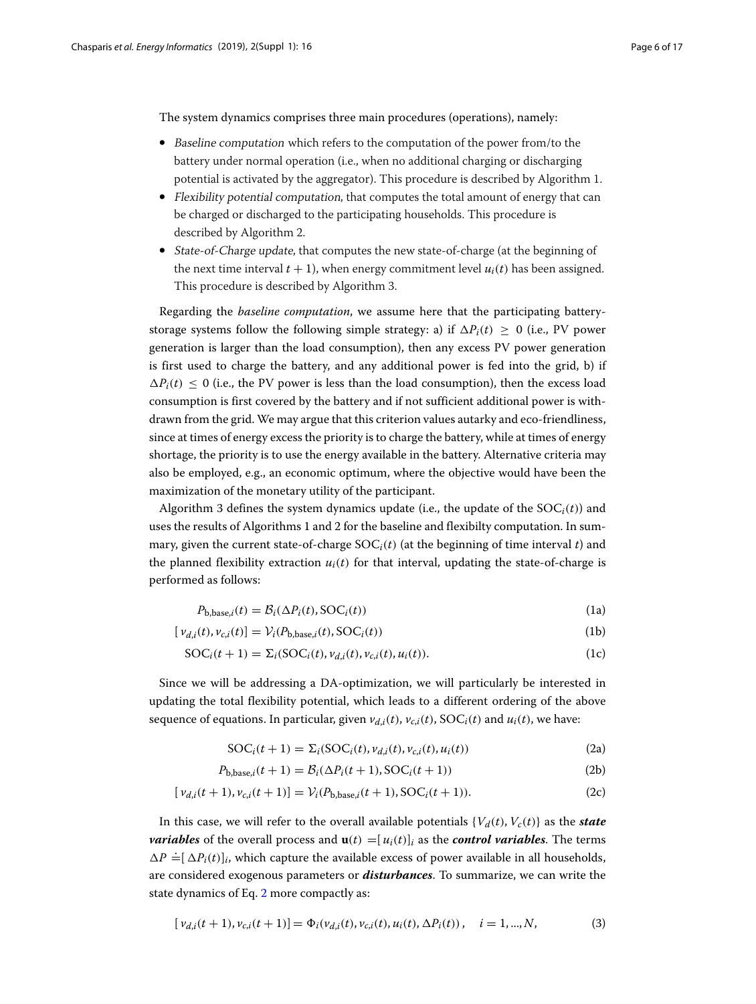The system dynamics comprises three main procedures (operations), namely:

- Baseline computation which refers to the computation of the power from/to the battery under normal operation (i.e., when no additional charging or discharging potential is activated by the aggregator). This procedure is described by Algorithm 1.
- Flexibility potential computation, that computes the total amount of energy that can be charged or discharged to the participating households. This procedure is described by Algorithm 2.
- State-of-Charge update, that computes the new state-of-charge (at the beginning of the next time interval  $t + 1$ ), when energy commitment level  $u_i(t)$  has been assigned. This procedure is described by Algorithm 3.

Regarding the *baseline computation*, we assume here that the participating batterystorage systems follow the following simple strategy: a) if  $\Delta P_i(t) \geq 0$  (i.e., PV power generation is larger than the load consumption), then any excess PV power generation is first used to charge the battery, and any additional power is fed into the grid, b) if  $\Delta P_i(t) \leq 0$  (i.e., the PV power is less than the load consumption), then the excess load consumption is first covered by the battery and if not sufficient additional power is withdrawn from the grid. We may argue that this criterion values autarky and eco-friendliness, since at times of energy excess the priority is to charge the battery, while at times of energy shortage, the priority is to use the energy available in the battery. Alternative criteria may also be employed, e.g., an economic optimum, where the objective would have been the maximization of the monetary utility of the participant.

Algorithm 3 defines the system dynamics update (i.e., the update of the  $SOC_i(t)$ ) and uses the results of Algorithms 1 and 2 for the baseline and flexibilty computation. In summary, given the current state-of-charge  $SOC_i(t)$  (at the beginning of time interval *t*) and the planned flexibility extraction  $u_i(t)$  for that interval, updating the state-of-charge is performed as follows:

$$
P_{b,base,i}(t) = \mathcal{B}_i(\Delta P_i(t), \text{SOC}_i(t))
$$
\n(1a)

$$
[\nu_{d,i}(t), \nu_{c,i}(t)] = \mathcal{V}_i(P_{b,\text{base},i}(t), \text{SOC}_i(t))
$$
\n(1b)

$$
SOCi(t+1) = \Sigmai(SOCi(t), vd,i(t), vc,i(t), ui(t)).
$$
\n(1c)

Since we will be addressing a DA-optimization, we will particularly be interested in updating the total flexibility potential, which leads to a different ordering of the above sequence of equations. In particular, given  $v_{d,i}(t)$ ,  $v_{c,i}(t)$ , SOC<sub>*i*</sub>(*t*) and  $u_i(t)$ , we have:

<span id="page-5-0"></span>
$$
SOCi(t+1) = \Sigmai(SOCi(t), vd,i(t), vc,i(t), ui(t))
$$
\n(2a)

$$
P_{b,base,i}(t+1) = B_i(\Delta P_i(t+1), \text{SOC}_i(t+1))
$$
\n(2b)

$$
[\nu_{d,i}(t+1), \nu_{c,i}(t+1)] = \mathcal{V}_i(P_{b,\text{base},i}(t+1), \text{SOC}_i(t+1)).
$$
\n(2c)

In this case, we will refer to the overall available potentials  $\{V_d(t), V_c(t)\}\$ as the *state variables* of the overall process and  $\mathbf{u}(t) = [u_i(t)]_i$  as the *control variables*. The terms  $\Delta P \doteq [\Delta P_i(t)]_i$ , which capture the available excess of power available in all households, are considered exogenous parameters or *disturbances*. To summarize, we can write the state dynamics of Eq. [2](#page-5-0) more compactly as:

$$
[\nu_{d,i}(t+1), \nu_{c,i}(t+1)] = \Phi_i(\nu_{d,i}(t), \nu_{c,i}(t), u_i(t), \Delta P_i(t)), \quad i = 1, ..., N,
$$
\n(3)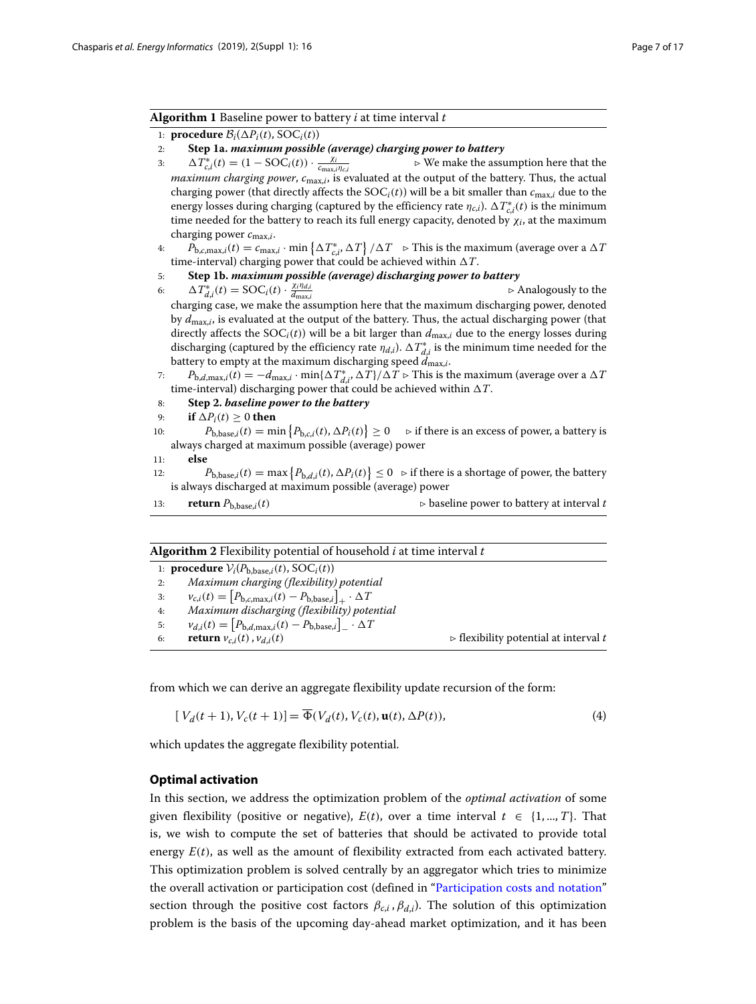### **Algorithm 1** Baseline power to battery *i* at time interval *t*

- 1: **procedure**  $\mathcal{B}_i(\Delta P_i(t), \text{SOC}_i(t))$
- 2: **Step 1a.** *maximum possible (average) charging power to battery*
- 3:  $\Delta T_{c,i}^{*}(t) = (1 \text{SOC}_i(t)) \cdot \frac{\chi_i}{c_{\text{max},i}}$  $\rho$  *c* We make the assumption here that the *maximum charging power*, *c*max,*i*, is evaluated at the output of the battery. Thus, the actual charging power (that directly affects the  $SOC<sub>i</sub>(t)$ ) will be a bit smaller than  $c_{\text{max},i}$  due to the energy losses during charging (captured by the efficiency rate  $\eta_{c,i}$ ).  $\Delta T_{c,i}^*(t)$  is the minimum time needed for the battery to reach its full energy capacity, denoted by  $\chi_i$ , at the maximum charging power *c*max,*i*.
- 4:  $P_{\text{b},c,\max,i}(t) = c_{\max,i} \cdot \min\left\{\Delta T_{c,i}^*, \Delta T\right\} / \Delta T \Rightarrow \text{This is the maximum (average over a } \Delta T$ time-interval) charging power that could be achieved within  $\Delta T$ .
- 5: **Step 1b.** *maximum possible (average) discharging power to battery*
- 6:  $\Delta T^*_{d,i}(t) = \text{SOC}_i(t) \cdot \frac{\chi_i \eta_{d,i}}{d_{\text{max},i}}$  $\rho$  Analogously to the charging case, we make the assumption here that the maximum discharging power, denoted by *d*max,*i*, is evaluated at the output of the battery. Thus, the actual discharging power (that directly affects the  $SOC_i(t)$ ) will be a bit larger than  $d_{\text{max},i}$  due to the energy losses during discharging (captured by the efficiency rate  $\eta_{d,i}$ ).  $\Delta T^*_{d,i}$  is the minimum time needed for the battery to empty at the maximum discharging speed  $\tilde{d}_{\text{max},i}$ .
- 7:  $P_{\text{b},d,\text{max},i}(t) = -d_{\text{max},i} \cdot \min\{\Delta T^*_{d,i}, \Delta T\}/\Delta T \triangleright$  This is the maximum (average over a  $\Delta T$ time-interval) discharging power that could be achieved within  $\Delta T.$
- 8: **Step 2.** *baseline power to the battery*
- 9: **if**  $\Delta P_i(t) \ge 0$  **then**
- 10:  $P_{\text{b,base},i}(t) = \min \{ P_{\text{b},c,i}(t), \Delta P_i(t) \} \ge 0$   $\Rightarrow$  if there is an excess of power, a battery is always charged at maximum possible (average) power
- 11: **else**
- 12:  $P_{\text{b,base},i}(t) = \max \left\{ P_{\text{b},d,i}(t), \Delta P_i(t) \right\} \leq 0 \Rightarrow \text{if there is a shortage of power, the battery}$ is always discharged at maximum possible (average) power
- 13: **return**  $P_{b,base,i}(t)$   $\triangleright$  baseline power to battery at interval *t*

| <b>Algorithm 2</b> Flexibility potential of household $i$ at time interval $t$ |  |  |  |
|--------------------------------------------------------------------------------|--|--|--|
|--------------------------------------------------------------------------------|--|--|--|

1: **procedure**  $V_i(P_{b,base,i}(t), SOC_i(t))$ <br>2: *Maximum charging (flexibility* 

```
2: Maximum charging (flexibility) potential
```

```
3: v_{c,i}(t) = [P_{b,c,max,i}(t) - P_{b,base,i}]_+ \cdot \Delta T
```
- 4: *Maximum discharging (flexibility) potential*
- 5:  $v_{d,i}(t) = [P_{b,d,\max,i}(t) P_{b,\text{base},i}]_ \Delta T$
- 

6: **return**  $v_{c,i}(t)$ ,  $v_{d,i}(t)$   $\triangleright$  flexibility potential at interval *t* 

from which we can derive an aggregate flexibility update recursion of the form:

$$
[V_d(t+1), V_c(t+1)] = \overline{\Phi}(V_d(t), V_c(t), \mathbf{u}(t), \Delta P(t)),
$$
\n(4)

which updates the aggregate flexibility potential.

### <span id="page-6-0"></span>**Optimal activation**

In this section, we address the optimization problem of the *optimal activation* of some given flexibility (positive or negative),  $E(t)$ , over a time interval  $t \in \{1, ..., T\}$ . That is, we wish to compute the set of batteries that should be activated to provide total energy  $E(t)$ , as well as the amount of flexibility extracted from each activated battery. This optimization problem is solved centrally by an aggregator which tries to minimize the overall activation or participation cost (defined in ["Participation costs and notation"](#page-3-0) section through the positive cost factors  $\beta_{c,i}$ ,  $\beta_{d,i}$ ). The solution of this optimization problem is the basis of the upcoming day-ahead market optimization, and it has been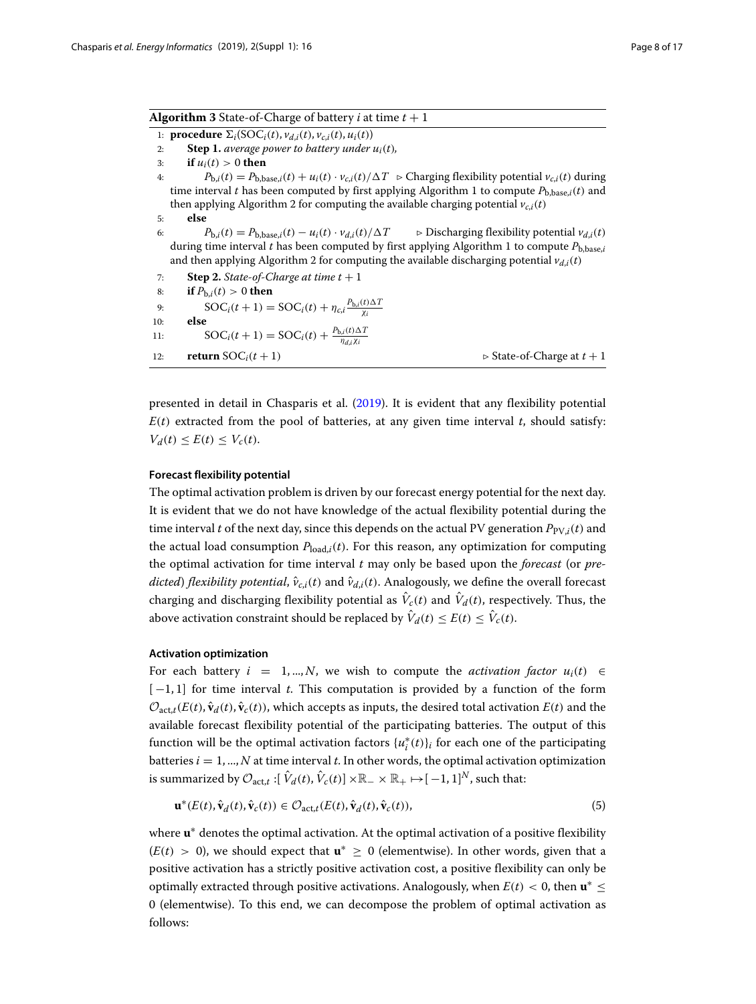| <b>Algorithm 3</b> State-of-Charge of battery <i>i</i> at time $t + 1$ |  |
|------------------------------------------------------------------------|--|
|                                                                        |  |

1: **procedure**  $\Sigma_i(\text{SOC}_i(t), v_{d,i}(t), v_{c,i}(t), u_i(t))$ 

2: **Step 1.** *average power to battery under*  $u_i(t)$ *,* 

```
3: if u_i(t) > 0 then
```
- 4:  $P_{b,i}(t) = P_{b,base,i}(t) + u_i(t) \cdot v_{c,i}(t) / \Delta T \geq Charging flexibility potential v_{c,i}(t) during$ time interval *t* has been computed by first applying Algorithm 1 to compute  $P_{\text{b}base,i}(t)$  and then applying Algorithm 2 for computing the available charging potential  $v_{c,i}(t)$ 5: **else**
- 6:  $P_{b,i}(t) = P_{b,base,i}(t) u_i(t) \cdot v_{d,i}(t) / \Delta T$  $\triangleright$  Discharging flexibility potential  $v_{d,i}(t)$ during time interval *t* has been computed by first applying Algorithm 1 to compute  $P_{\text{b}.\text{base},i}$ and then applying Algorithm 2 for computing the available discharging potential  $v_{di}(t)$ 
	- 7: **Step 2.** *State-of-Charge at time t* + 1<br>8: **if**  $P_{h,i}(t) > 0$  **then**

```
if P_{b,i}(t) > 0 then
```

```
9: \text{SOC}_i(t+1) = \text{SOC}_i(t) + \eta_{c,i} \frac{P_{b,i}(t) \Delta T}{\chi_i}10: else
11: \text{SOC}_i(t+1) = \text{SOC}_i(t) + \frac{P_{b,i}(t)\Delta T}{\eta_{d,i}\chi_i}
```
12: **return**  $\text{SOC}_i(t+1)$   $\triangleright$  State-of-Charge at  $t+1$ 

presented in detail in Chasparis et al. [\(2019\)](#page-16-15). It is evident that any flexibility potential  $E(t)$  extracted from the pool of batteries, at any given time interval  $t$ , should satisfy:  $V_d(t) \leq E(t) \leq V_c(t)$ .

### **Forecast flexibility potential**

The optimal activation problem is driven by our forecast energy potential for the next day. It is evident that we do not have knowledge of the actual flexibility potential during the time interval *t* of the next day, since this depends on the actual PV generation  $P_{PV,i}(t)$  and the actual load consumption  $P_{load,i}(t)$ . For this reason, any optimization for computing the optimal activation for time interval *t* may only be based upon the *forecast* (or *predicted*) *flexibility potential*,  $\hat{v}_{c,i}(t)$  and  $\hat{v}_{d,i}(t)$ . Analogously, we define the overall forecast charging and discharging flexibility potential as  $\hat{V}_c(t)$  and  $\hat{V}_d(t)$ , respectively. Thus, the above activation constraint should be replaced by  $\hat{V}_d(t) \leq E(t) \leq \hat{V}_c(t)$ .

### **Activation optimization**

For each battery  $i = 1, ..., N$ , we wish to compute the *activation factor*  $u_i(t) \in$  $[-1, 1]$  for time interval *t*. This computation is provided by a function of the form  $\mathcal{O}_{\text{act},t}(E(t), \hat{\mathbf{v}}_d(t), \hat{\mathbf{v}}_c(t))$ , which accepts as inputs, the desired total activation  $E(t)$  and the available forecast flexibility potential of the participating batteries. The output of this function will be the optimal activation factors  $\{u_i^*(t)\}_i$  for each one of the participating batteries  $i = 1, ..., N$  at time interval  $t$ . In other words, the optimal activation optimization is summarized by  $\mathcal{O}_{\text{act.}t}$ :  $[\hat{V}_d(t), \hat{V}_c(t)] \times \mathbb{R}_+ \times \mathbb{R}_+ \mapsto [-1, 1]^N$ , such that:

$$
\mathbf{u}^*(E(t), \hat{\mathbf{v}}_d(t), \hat{\mathbf{v}}_c(t)) \in \mathcal{O}_{\text{act},t}(E(t), \hat{\mathbf{v}}_d(t), \hat{\mathbf{v}}_c(t)),\tag{5}
$$

where **u**∗ denotes the optimal activation. At the optimal activation of a positive flexibility  $(E(t) > 0)$ , we should expect that **u**<sup>∗</sup> ≥ 0 (elementwise). In other words, given that a positive activation has a strictly positive activation cost, a positive flexibility can only be optimally extracted through positive activations. Analogously, when  $E(t) < 0$ , then  $\mathbf{u}^* \leq$ 0 (elementwise). To this end, we can decompose the problem of optimal activation as follows: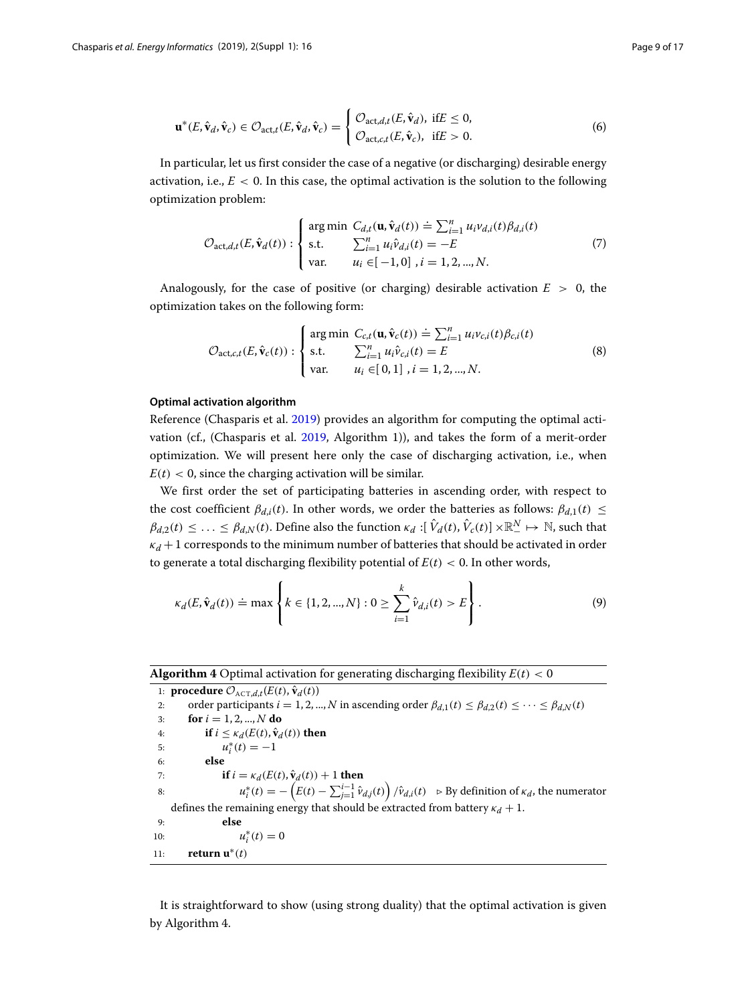$$
\mathbf{u}^*(E, \hat{\mathbf{v}}_d, \hat{\mathbf{v}}_c) \in \mathcal{O}_{\text{act},t}(E, \hat{\mathbf{v}}_d, \hat{\mathbf{v}}_c) = \begin{cases} \mathcal{O}_{\text{act},d,t}(E, \hat{\mathbf{v}}_d), \text{ if } E \le 0, \\ \mathcal{O}_{\text{act},c,t}(E, \hat{\mathbf{v}}_c), \text{ if } E > 0. \end{cases}
$$
(6)

In particular, let us first consider the case of a negative (or discharging) desirable energy activation, i.e.,  $E < 0$ . In this case, the optimal activation is the solution to the following optimization problem:

<span id="page-8-0"></span>
$$
\mathcal{O}_{\text{act},d,t}(E,\hat{\mathbf{v}}_d(t)) : \begin{cases} \arg \min \ C_{d,t}(\mathbf{u}, \hat{\mathbf{v}}_d(t)) \doteq \sum_{i=1}^n u_i v_{d,i}(t) \beta_{d,i}(t) \\ \text{s.t.} \quad & \sum_{i=1}^n u_i \hat{v}_{d,i}(t) = -E \\ \text{var.} \quad & u_i \in [-1,0], \ i = 1,2,...,N. \end{cases} \tag{7}
$$

Analogously, for the case of positive (or charging) desirable activation  $E > 0$ , the optimization takes on the following form:

$$
\mathcal{O}_{\text{act},c,t}(E,\hat{\mathbf{v}}_c(t)) : \begin{cases} \text{arg min } C_{c,t}(\mathbf{u},\hat{\mathbf{v}}_c(t)) \doteq \sum_{i=1}^n u_i v_{c,i}(t) \beta_{c,i}(t) \\ \text{s.t. } \sum_{i=1}^n u_i \hat{v}_{c,i}(t) = E \\ \text{var. } u_i \in [0,1], i = 1,2,...,N. \end{cases}
$$
(8)

### **Optimal activation algorithm**

Reference (Chasparis et al. [2019\)](#page-16-15) provides an algorithm for computing the optimal activation (cf., (Chasparis et al. [2019,](#page-16-15) Algorithm 1)), and takes the form of a merit-order optimization. We will present here only the case of discharging activation, i.e., when  $E(t) < 0$ , since the charging activation will be similar.

We first order the set of participating batteries in ascending order, with respect to the cost coefficient  $\beta_{d,i}(t)$ . In other words, we order the batteries as follows:  $\beta_{d,1}(t) \leq$  $\beta_{d,2}(t) \leq \ldots \leq \beta_{d,N}(t)$ . Define also the function  $\kappa_d : [\hat{V}_d(t), \hat{V}_c(t)] \times \mathbb{R}^N_- \mapsto \mathbb{N}$ , such that  $\kappa_d$  + 1 corresponds to the minimum number of batteries that should be activated in order to generate a total discharging flexibility potential of  $E(t) < 0$ . In other words,

$$
\kappa_d(E, \hat{\mathbf{v}}_d(t)) \doteq \max \left\{ k \in \{1, 2, ..., N\} : 0 \ge \sum_{i=1}^k \hat{v}_{d,i}(t) > E \right\}.
$$
 (9)

**Algorithm 4** Optimal activation for generating discharging flexibility  $E(t) < 0$ 

1: **procedure**  $\mathcal{O}_{\text{ACT},d,t}(E(t), \hat{\mathbf{v}}_d(t))$ <br>2: order participants  $i = 1, 2, ...$ 2: order participants *i* = 1, 2, ..., *N* in ascending order  $\beta_{d,1}(t) \leq \beta_{d,2}(t) \leq \cdots \leq \beta_{d,N}(t)$ <br>3: **for** *i* = 1, 2, ..., *N* **do** 3: **for**  $i = 1, 2, ..., N$  **do**<br>4: **if**  $i < \kappa_d(E(t), \hat{\mathbf{v}}_d)$ 4: **if**  $i \le \kappa_d(E(t), \hat{\mathbf{v}}_d(t))$  then<br>5:  $u^*(t) = -1$ 5:  $u_i^*(t) = -1$ 6: **else** 7: **if**  $i = \kappa_d(E(t), \hat{\mathbf{v}}_d(t)) + 1$  **then** 8:  $u_i^*(t) = -\left(E(t) - \sum_{j=1}^{i-1} \hat{v}_{d,j}(t)\right) / \hat{v}_{d,i}(t) \Rightarrow \text{By definition of } \kappa_d \text{, the numerator.}$ defines the remaining energy that should be extracted from battery  $\kappa_d + 1$ . 9: **else** 10: *u*∗  $u_i^*(t) = 0$ 11: **return u**∗(*t*)

It is straightforward to show (using strong duality) that the optimal activation is given by Algorithm 4.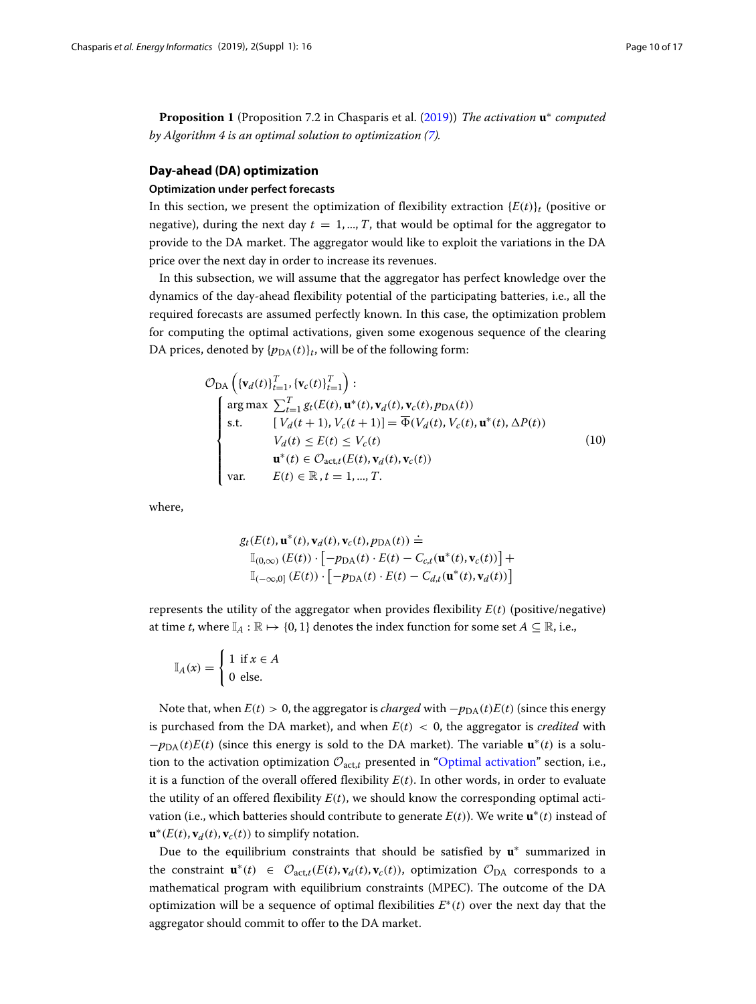**Proposition 1** (Proposition 7.2 in Chasparis et al. [\(2019\)](#page-16-15)) *The activation* **u**∗ *computed by Algorithm 4 is an optimal solution to optimization [\(7\)](#page-8-0).*

### <span id="page-9-0"></span>**Day-ahead (DA) optimization**

### **Optimization under perfect forecasts**

In this section, we present the optimization of flexibility extraction  ${E(t)}_t$  (positive or negative), during the next day  $t = 1, ..., T$ , that would be optimal for the aggregator to provide to the DA market. The aggregator would like to exploit the variations in the DA price over the next day in order to increase its revenues.

In this subsection, we will assume that the aggregator has perfect knowledge over the dynamics of the day-ahead flexibility potential of the participating batteries, i.e., all the required forecasts are assumed perfectly known. In this case, the optimization problem for computing the optimal activations, given some exogenous sequence of the clearing DA prices, denoted by  $\{p_{DA}(t)\}_t$ , will be of the following form:

<span id="page-9-1"></span>
$$
\mathcal{O}_{DA}\left(\{\mathbf{v}_d(t)\}_{t=1}^T, \{\mathbf{v}_c(t)\}_{t=1}^T\right):
$$
\n
$$
\begin{cases}\n\arg \max \sum_{t=1}^T g_t(E(t), \mathbf{u}^*(t), \mathbf{v}_d(t), \mathbf{v}_c(t), p_{DA}(t)) \\
\text{s.t.} \qquad [V_d(t+1), V_c(t+1)] = \overline{\Phi}(V_d(t), V_c(t), \mathbf{u}^*(t), \Delta P(t)) \\
V_d(t) \le E(t) \le V_c(t) \\
\mathbf{u}^*(t) \in \mathcal{O}_{\text{act},t}(E(t), \mathbf{v}_d(t), \mathbf{v}_c(t)) \\
\text{var.} \qquad E(t) \in \mathbb{R}, t = 1, ..., T.\n\end{cases}
$$
\n(10)

where,

$$
g_t(E(t), \mathbf{u}^*(t), \mathbf{v}_d(t), \mathbf{v}_c(t), p_{\text{DA}}(t)) \doteq
$$
  
\n
$$
\mathbb{I}_{(0,\infty)}(E(t)) \cdot \left[ -p_{\text{DA}}(t) \cdot E(t) - C_{c,t}(\mathbf{u}^*(t), \mathbf{v}_c(t)) \right] +
$$
  
\n
$$
\mathbb{I}_{(-\infty,0]}(E(t)) \cdot \left[ -p_{\text{DA}}(t) \cdot E(t) - C_{d,t}(\mathbf{u}^*(t), \mathbf{v}_d(t)) \right]
$$

represents the utility of the aggregator when provides flexibility  $E(t)$  (positive/negative) at time *t*, where  $\mathbb{I}_A : \mathbb{R} \mapsto \{0, 1\}$  denotes the index function for some set  $A \subseteq \mathbb{R}$ , i.e.,

$$
\mathbb{I}_A(x) = \begin{cases} 1 & \text{if } x \in A \\ 0 & \text{else.} \end{cases}
$$

Note that, when  $E(t) > 0$ , the aggregator is *charged* with  $-p_{DA}(t)E(t)$  (since this energy is purchased from the DA market), and when  $E(t) < 0$ , the aggregator is *credited* with  $-p<sub>DA</sub>(t)E(t)$  (since this energy is sold to the DA market). The variable  $\mathbf{u}^*(t)$  is a solution to the activation optimization  $\mathcal{O}_{\text{act},t}$  presented in ["Optimal activation"](#page-6-0) section, i.e., it is a function of the overall offered flexibility  $E(t)$ . In other words, in order to evaluate the utility of an offered flexibility  $E(t)$ , we should know the corresponding optimal activation (i.e., which batteries should contribute to generate  $E(t)$ ). We write  $\mathbf{u}^*(t)$  instead of  $\mathbf{u}^*(E(t), \mathbf{v}_d(t), \mathbf{v}_c(t))$  to simplify notation.

Due to the equilibrium constraints that should be satisfied by **u**∗ summarized in the constraint  $\mathbf{u}^*(t) \in \mathcal{O}_{\text{act},t}(E(t), \mathbf{v}_d(t), \mathbf{v}_c(t))$ , optimization  $\mathcal{O}_{\text{DA}}$  corresponds to a mathematical program with equilibrium constraints (MPEC). The outcome of the DA optimization will be a sequence of optimal flexibilities *E*∗(*t*) over the next day that the aggregator should commit to offer to the DA market.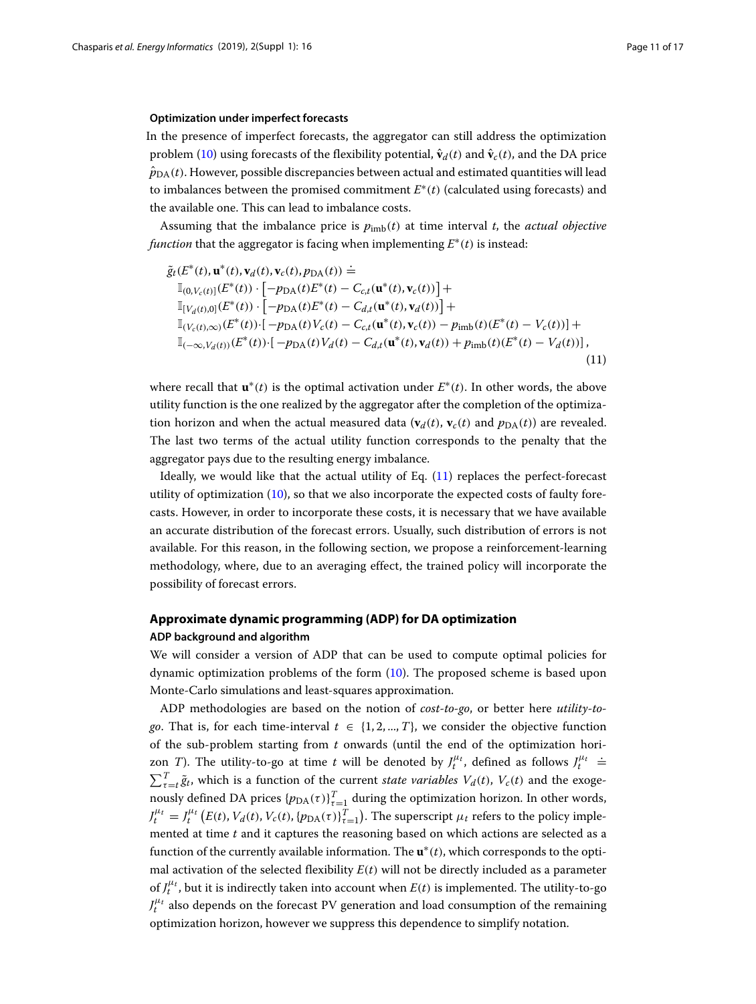### <span id="page-10-2"></span>**Optimization under imperfect forecasts**

In the presence of imperfect forecasts, the aggregator can still address the optimization problem [\(10\)](#page-9-1) using forecasts of the flexibility potential,  $\hat{\mathbf{v}}_d(t)$  and  $\hat{\mathbf{v}}_c(t)$ , and the DA price  $\hat{p}_{DA}(t)$ . However, possible discrepancies between actual and estimated quantities will lead to imbalances between the promised commitment *E*∗(*t*) (calculated using forecasts) and the available one. This can lead to imbalance costs.

Assuming that the imbalance price is  $p_{\text{imb}}(t)$  at time interval *t*, the *actual objective function* that the aggregator is facing when implementing *E*∗(*t*) is instead:

<span id="page-10-1"></span>
$$
\tilde{g}_t(E^*(t), \mathbf{u}^*(t), \mathbf{v}_d(t), \mathbf{v}_c(t), p_{DA}(t)) \doteq \n\mathbb{I}_{(0, V_c(t)]}(E^*(t)) \cdot [-p_{DA}(t)E^*(t) - C_{c,t}(\mathbf{u}^*(t), \mathbf{v}_c(t))] + \n\mathbb{I}_{[V_d(t),0]}(E^*(t)) \cdot [-p_{DA}(t)E^*(t) - C_{d,t}(\mathbf{u}^*(t), \mathbf{v}_d(t))] + \n\mathbb{I}_{(V_c(t),\infty)}(E^*(t)) \cdot [-p_{DA}(t)V_c(t) - C_{c,t}(\mathbf{u}^*(t), \mathbf{v}_c(t)) - p_{imb}(t)(E^*(t) - V_c(t))] + \n\mathbb{I}_{(-\infty,V_d(t))}(E^*(t)) \cdot [-p_{DA}(t)V_d(t) - C_{d,t}(\mathbf{u}^*(t), \mathbf{v}_d(t)) + p_{imb}(t)(E^*(t) - V_d(t))],
$$
\n(11)

where recall that  $\mathbf{u}^*(t)$  is the optimal activation under  $E^*(t)$ . In other words, the above utility function is the one realized by the aggregator after the completion of the optimization horizon and when the actual measured data  $(\mathbf{v}_d(t), \mathbf{v}_c(t))$  and  $p_{\text{DA}}(t)$  are revealed. The last two terms of the actual utility function corresponds to the penalty that the aggregator pays due to the resulting energy imbalance.

Ideally, we would like that the actual utility of Eq. [\(11\)](#page-10-1) replaces the perfect-forecast utility of optimization  $(10)$ , so that we also incorporate the expected costs of faulty forecasts. However, in order to incorporate these costs, it is necessary that we have available an accurate distribution of the forecast errors. Usually, such distribution of errors is not available. For this reason, in the following section, we propose a reinforcement-learning methodology, where, due to an averaging effect, the trained policy will incorporate the possibility of forecast errors.

### <span id="page-10-0"></span>**Approximate dynamic programming (ADP) for DA optimization ADP background and algorithm**

We will consider a version of ADP that can be used to compute optimal policies for dynamic optimization problems of the form [\(10\)](#page-9-1). The proposed scheme is based upon Monte-Carlo simulations and least-squares approximation.

ADP methodologies are based on the notion of *cost-to-go*, or better here *utility-togo*. That is, for each time-interval  $t \in \{1, 2, ..., T\}$ , we consider the objective function of the sub-problem starting from *t* onwards (until the end of the optimization horizon *T*). The utility-to-go at time *t* will be denoted by  $J_t^{\mu_t}$ , defined as follows  $J_t^{\mu_t}$  = =  $\sum_{\tau=t}^{T} \tilde{g}_t$ , which is a function of the current *state variables*  $V_d(t)$ ,  $V_c(t)$  and the exogenously defined DA prices  $\{p_{\text{DA}}(\tau)\}_{\tau=\frac{1}{T}}^T$  during the optimization horizon. In other words,  $J_t^{\mu_t} = J_t^{\mu_t} (E(t), V_d(t), V_c(t), \{p_{\text{DA}}(\tau)\}_{\tau=1}^T)$ . The superscript  $\mu_t$  refers to the policy implemented at time *t* and it captures the reasoning based on which actions are selected as a function of the currently available information. The **u**∗(*t*), which corresponds to the optimal activation of the selected flexibility  $E(t)$  will not be directly included as a parameter of  $J_t^{\mu_t}$ , but it is indirectly taken into account when  $E(t)$  is implemented. The utility-to-go  $J_t^{\mu_t}$  also depends on the forecast PV generation and load consumption of the remaining optimization horizon, however we suppress this dependence to simplify notation.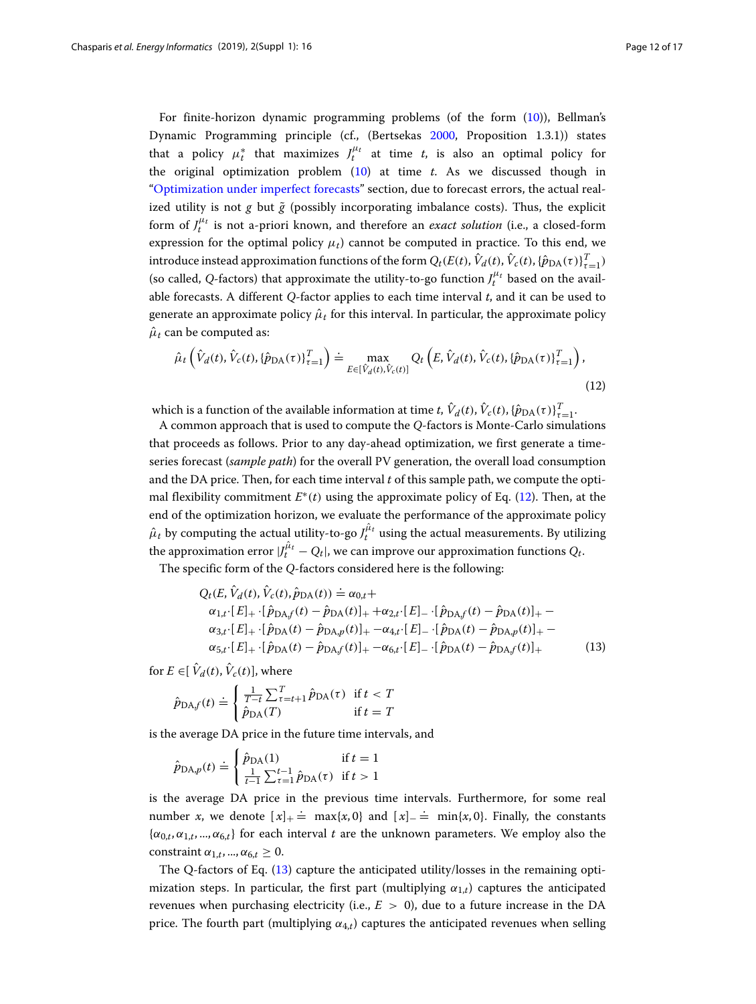For finite-horizon dynamic programming problems (of the form [\(10\)](#page-9-1)), Bellman's Dynamic Programming principle (cf., (Bertsekas [2000,](#page-16-16) Proposition 1.3.1)) states that a policy  $\mu_t^*$  that maximizes  $J_t^{\mu_t}$  at time *t*, is also an optimal policy for the original optimization problem [\(10\)](#page-9-1) at time *t*. As we discussed though in ["Optimization under imperfect forecasts"](#page-10-2) section, due to forecast errors, the actual realized utility is not  $g$  but  $\tilde{g}$  (possibly incorporating imbalance costs). Thus, the explicit form of  $J_t^{\mu_t}$  is not a-priori known, and therefore an *exact solution* (i.e., a closed-form expression for the optimal policy  $\mu_t$ ) cannot be computed in practice. To this end, we introduce instead approximation functions of the form  $Q_t(E(t), \hat{V}_d(t), \hat{V}_c(t), \{\hat{p}_{\text{DA}}(\tau)\}_{\tau=1}^T)$ (so called, *Q*-factors) that approximate the utility-to-go function  $J_t^{\mu_t}$  based on the available forecasts. A different *Q*-factor applies to each time interval *t*, and it can be used to generate an approximate policy  $\hat{\mu}_t$  for this interval. In particular, the approximate policy  $\hat{\mu}_t$  can be computed as:

<span id="page-11-0"></span>
$$
\hat{\mu}_t\left(\hat{V}_d(t), \hat{V}_c(t), \{\hat{p}_{\text{DA}}(\tau)\}_{\tau=1}^T\right) \doteq \max_{E \in [\hat{V}_d(t), \hat{V}_c(t)]} Q_t\left(E, \hat{V}_d(t), \hat{V}_c(t), \{\hat{p}_{\text{DA}}(\tau)\}_{\tau=1}^T\right),\tag{12}
$$

which is a function of the available information at time *t*,  $\hat{V}_d(t)$ ,  $\hat{V}_c(t)$ ,  $\{\hat{p}_{DA}(\tau)\}_{\tau=1}^T$ .

A common approach that is used to compute the *Q*-factors is Monte-Carlo simulations that proceeds as follows. Prior to any day-ahead optimization, we first generate a timeseries forecast (*sample path*) for the overall PV generation, the overall load consumption and the DA price. Then, for each time interval *t* of this sample path, we compute the optimal flexibility commitment *E*∗(*t*) using the approximate policy of Eq. [\(12\)](#page-11-0). Then, at the end of the optimization horizon, we evaluate the performance of the approximate policy  $\hat{\mu}_t$  by computing the actual utility-to-go  $J_t^{\hat{\mu}_t}$  using the actual measurements. By utilizing the approximation error  $|J_t^{\hat{\mu}_t} - Q_t|$ , we can improve our approximation functions  $Q_t$ .

The specific form of the *Q*-factors considered here is the following:

<span id="page-11-1"></span>
$$
Q_{t}(E, \hat{V}_{d}(t), \hat{V}_{c}(t), \hat{p}_{DA}(t)) \doteq \alpha_{0,t} + \alpha_{1,t} \cdot [E]_{+} \cdot [\hat{p}_{DAf}(t) - \hat{p}_{DA}(t)]_{+} + \alpha_{2,t} \cdot [E]_{-} \cdot [\hat{p}_{DAf}(t) - \hat{p}_{DA}(t)]_{+} - \alpha_{3,t} \cdot [E]_{+} \cdot [\hat{p}_{DA}(t) - \hat{p}_{DA,p}(t)]_{+} - \alpha_{4,t} \cdot [E]_{-} \cdot [\hat{p}_{DA}(t) - \hat{p}_{DA,p}(t)]_{+} - \alpha_{5,t} \cdot [E]_{+} \cdot [\hat{p}_{DA}(t) - \hat{p}_{DAf}(t)]_{+} - \alpha_{6,t} \cdot [E]_{-} \cdot [\hat{p}_{DA}(t) - \hat{p}_{DAf}(t)]_{+} \tag{13}
$$

for  $E \in [\hat{V}_d(t), \hat{V}_c(t)]$ , where

$$
\hat{p}_{\text{DA}f}(t) \doteq \begin{cases}\n\frac{1}{T-t} \sum_{\tau=t+1}^{T} \hat{p}_{\text{DA}}(\tau) & \text{if } t < T \\
\hat{p}_{\text{DA}}(T) & \text{if } t = T\n\end{cases}
$$

is the average DA price in the future time intervals, and

$$
\hat{p}_{\text{DA},p}(t) \doteq \begin{cases} \hat{p}_{\text{DA}}(1) & \text{if } t = 1\\ \frac{1}{t-1} \sum_{\tau=1}^{t-1} \hat{p}_{\text{DA}}(\tau) & \text{if } t > 1 \end{cases}
$$

is the average DA price in the previous time intervals. Furthermore, for some real number *x*, we denote  $[x]_+$   $\stackrel{\text{?}}{=}$  max{*x*, 0} and  $[x]_−$   $\stackrel{\text{?}}{=}$  min{*x*, 0}. Finally, the constants  ${\alpha_{0,t}, \alpha_{1,t}, ..., \alpha_{6,t}}$  for each interval *t* are the unknown parameters. We employ also the constraint  $\alpha_{1,t},...,\alpha_{6,t} \geq 0$ .

The Q-factors of Eq. [\(13\)](#page-11-1) capture the anticipated utility/losses in the remaining optimization steps. In particular, the first part (multiplying  $\alpha_{1,t}$ ) captures the anticipated revenues when purchasing electricity (i.e.,  $E > 0$ ), due to a future increase in the DA price. The fourth part (multiplying  $\alpha_{4,t}$ ) captures the anticipated revenues when selling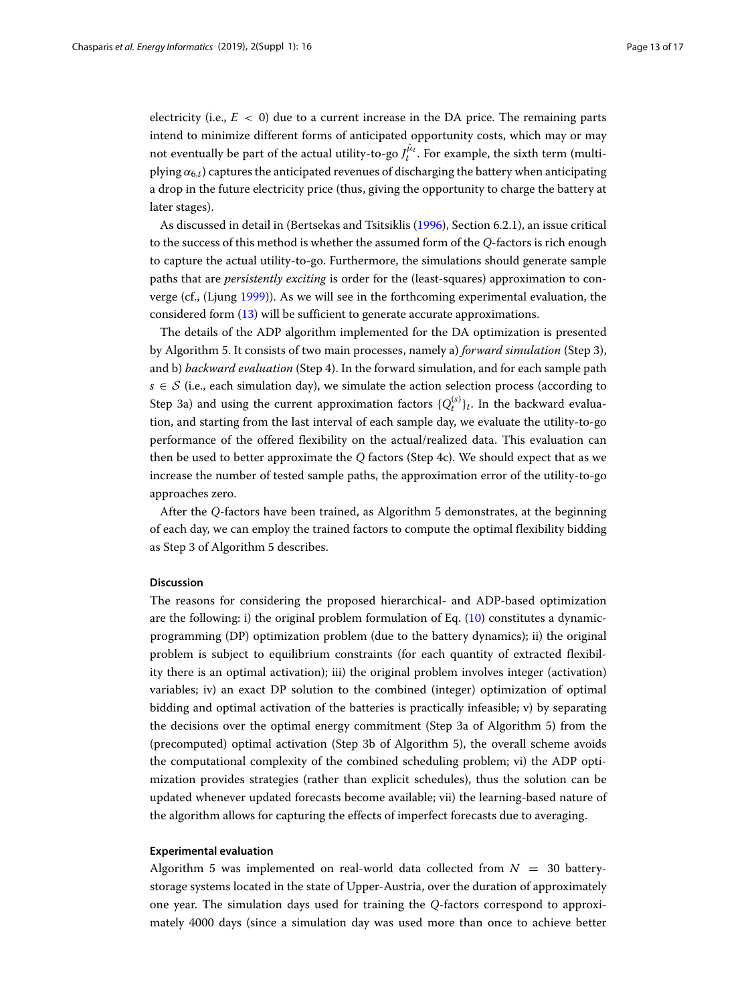electricity (i.e.,  $E < 0$ ) due to a current increase in the DA price. The remaining parts intend to minimize different forms of anticipated opportunity costs, which may or may not eventually be part of the actual utility-to-go  $J_t^{\hat{\mu}_t}$ . For example, the sixth term (multiplying  $\alpha_{6,t}$ ) captures the anticipated revenues of discharging the battery when anticipating a drop in the future electricity price (thus, giving the opportunity to charge the battery at later stages).

As discussed in detail in (Bertsekas and Tsitsiklis [\(1996\)](#page-16-17), Section 6.2.1), an issue critical to the success of this method is whether the assumed form of the *Q*-factors is rich enough to capture the actual utility-to-go. Furthermore, the simulations should generate sample paths that are *persistently exciting* is order for the (least-squares) approximation to converge (cf., (Ljung [1999\)](#page-16-18)). As we will see in the forthcoming experimental evaluation, the considered form [\(13\)](#page-11-1) will be sufficient to generate accurate approximations.

The details of the ADP algorithm implemented for the DA optimization is presented by Algorithm 5. It consists of two main processes, namely a) *forward simulation* (Step 3), and b) *backward evaluation* (Step 4). In the forward simulation, and for each sample path  $s \in S$  (i.e., each simulation day), we simulate the action selection process (according to Step 3a) and using the current approximation factors  $\{Q_t^{(s)}\}_t$ . In the backward evaluation, and starting from the last interval of each sample day, we evaluate the utility-to-go performance of the offered flexibility on the actual/realized data. This evaluation can then be used to better approximate the *Q* factors (Step 4c). We should expect that as we increase the number of tested sample paths, the approximation error of the utility-to-go approaches zero.

After the *Q*-factors have been trained, as Algorithm 5 demonstrates, at the beginning of each day, we can employ the trained factors to compute the optimal flexibility bidding as Step 3 of Algorithm 5 describes.

### <span id="page-12-0"></span>**Discussion**

The reasons for considering the proposed hierarchical- and ADP-based optimization are the following: i) the original problem formulation of Eq.  $(10)$  constitutes a dynamicprogramming (DP) optimization problem (due to the battery dynamics); ii) the original problem is subject to equilibrium constraints (for each quantity of extracted flexibility there is an optimal activation); iii) the original problem involves integer (activation) variables; iv) an exact DP solution to the combined (integer) optimization of optimal bidding and optimal activation of the batteries is practically infeasible; v) by separating the decisions over the optimal energy commitment (Step 3a of Algorithm 5) from the (precomputed) optimal activation (Step 3b of Algorithm 5), the overall scheme avoids the computational complexity of the combined scheduling problem; vi) the ADP optimization provides strategies (rather than explicit schedules), thus the solution can be updated whenever updated forecasts become available; vii) the learning-based nature of the algorithm allows for capturing the effects of imperfect forecasts due to averaging.

### **Experimental evaluation**

Algorithm 5 was implemented on real-world data collected from *N* = 30 batterystorage systems located in the state of Upper-Austria, over the duration of approximately one year. The simulation days used for training the *Q*-factors correspond to approximately 4000 days (since a simulation day was used more than once to achieve better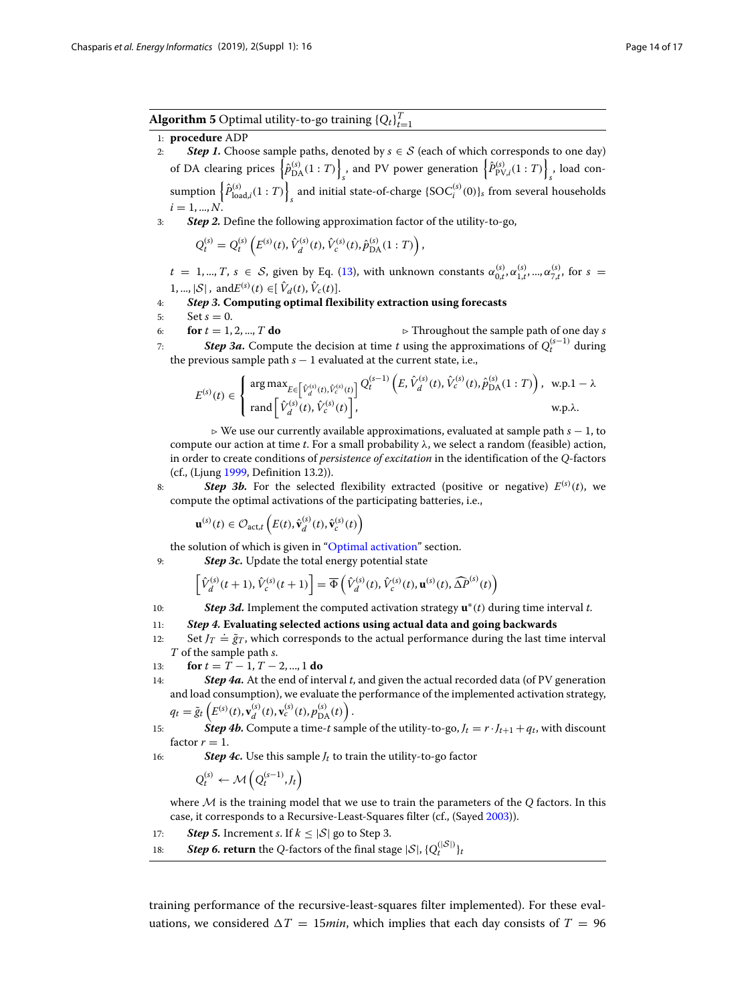**Algorithm 5** Optimal utility-to-go training  $\{Q_t\}_{t=1}^T$ 

### 1: **procedure** ADP

- 2: **Step 1.** Choose sample paths, denoted by  $s \in S$  (each of which corresponds to one day) of DA clearing prices  $\left\{\hat{p}_{\text{DA}}^{(s)}(1:T)\right\}$ , and PV power generation  $\left\{ \hat{P}_{\text{PV},i}^{(s)}(1:T) \right\}$ *s* , load consumption  $\left\{ \hat{P}_{\text{load},i}^{(s)}(1:T) \right\}$ and initial state-of-charge  $\{SOC_i^{(s)}(0)\}_s$  from several households  $i = 1, N$
- 3: *Step 2.* Define the following approximation factor of the utility-to-go,

$$
Q_t^{(s)} = Q_t^{(s)} \left( E^{(s)}(t), \hat{V}_d^{(s)}(t), \hat{V}_c^{(s)}(t), \hat{p}_{\text{DA}}^{(s)}(1:T) \right),
$$

 $t = 1, ..., T$ ,  $s \in S$ , given by Eq. [\(13\)](#page-11-1), with unknown constants  $\alpha_{0,t}^{(s)}$ ,  $\alpha_{1,t}^{(s)}$ , ...,  $\alpha_{7,t}^{(s)}$ , for  $s =$  $1, ..., |\mathcal{S}|$ , and $E^{(s)}(t) \in [\hat{V}_d(t), \hat{V}_c(t)].$ 

4: *Step 3.* **Computing optimal flexibility extraction using forecasts**

the previous sample path  $s - 1$  evaluated at the current state, i.e.,

5: Set  $s = 0$ .<br>6: **for**  $t = 1, 2, ..., T$  **do** 6: **for**  $t = 1, 2, ..., T$  **do**  $\triangleright$  **Throughout the sample path of one day** *s* 7: **Step 3a.** Compute the decision at time *t* using the approximations of  $O_2^{(s-1)}$  during *7*∶ **Step 3a.** Compute the decision at time *t* using the approximations of  $Q_t^{(s-1)}$  during

$$
E^{(s)}(t) \in \begin{cases} \arg \max_{E \in \left[ \hat{V}_d^{(s)}(t), \hat{V}_c^{(s)}(t) \right]} Q_t^{(s-1)} \left( E, \hat{V}_d^{(s)}(t), \hat{V}_c^{(s)}(t), \hat{p}_{\text{DA}}^{(s)}(1:T) \right), & \text{w.p.} 1 - \lambda \\ \text{rand} \left[ \hat{V}_d^{(s)}(t), \hat{V}_c^{(s)}(t) \right], & \text{w.p.}\lambda. \end{cases}
$$

 We use our currently available approximations, evaluated at sample path *s* − 1, to compute our action at time *t*. For a small probability λ, we select a random (feasible) action, in order to create conditions of *persistence of excitation* in the identification of the *Q*-factors (cf., (Ljung [1999,](#page-16-18) Definition 13.2)).

8: **Step 3b.** For the selected flexibility extracted (positive or negative)  $E^{(s)}(t)$ , we compute the optimal activations of the participating batteries, i.e.,

$$
\mathbf{u}^{(s)}(t) \in \mathcal{O}_{\text{act},t}\left(E(t), \hat{\mathbf{v}}_d^{(s)}(t), \hat{\mathbf{v}}_c^{(s)}(t)\right)
$$

the solution of which is given in ["Optimal activation"](#page-6-0) section.

9: *Step 3c.* Update the total energy potential state

$$
\left[\hat{V}_d^{(s)}(t+1), \hat{V}_c^{(s)}(t+1)\right] = \overline{\Phi}\left(\hat{V}_d^{(s)}(t), \hat{V}_c^{(s)}(t), \mathbf{u}^{(s)}(t), \widehat{\Delta P}^{(s)}(t)\right)
$$

- 10: *Step 3d.* Implement the computed activation strategy **u**∗(*t*) during time interval *t*.
- 11: *Step 4.* **Evaluating selected actions using actual data and going backwards**
- 12: Set  $J_T \doteq \tilde{g}_T$ , which corresponds to the actual performance during the last time interval *T* of the sample path *s*.
- 13: **for**  $t = T 1, T 2, ..., 1$  **do**
- 14: *Step 4a.* At the end of interval *t*, and given the actual recorded data (of PV generation and load consumption), we evaluate the performance of the implemented activation strategy,  $q_t = \tilde{g}_t \left( E^{(s)}(t), \mathbf{v}_d^{(s)}(t), \mathbf{v}_c^{(s)}(t), p_{\text{DA}}^{(s)}(t) \right).$
- 15: **Step 4b.** Compute a time-*t* sample of the utility-to-go,  $J_t = r \cdot J_{t+1} + q_t$ , with discount factor  $r = 1$ .
- 16: *Step 4c.* Use this sample *Jt* to train the utility-to-go factor

$$
Q_t^{(s)} \leftarrow \mathcal{M}\left(Q_t^{(s-1)}, J_t\right)
$$

where M is the training model that we use to train the parameters of the *Q* factors. In this case, it corresponds to a Recursive-Least-Squares filter (cf., (Sayed [2003\)](#page-16-19)).

- 17: **Step 5.** Increment *s*. If  $k < |\mathcal{S}|$  go to Step 3.
- 18: **Step 6. return** the Q-factors of the final stage  $|S|$ ,  $\{Q_t^{(|S|)}\}_t$

training performance of the recursive-least-squares filter implemented). For these evaluations, we considered  $\Delta T = 15$ *min*, which implies that each day consists of  $T = 96$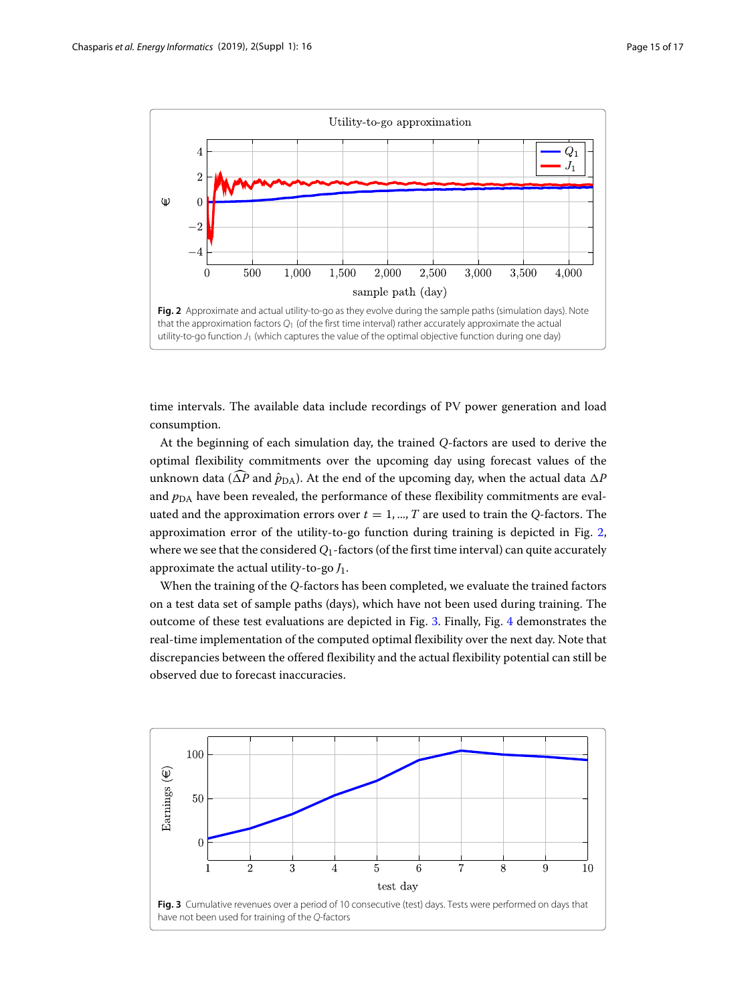

<span id="page-14-0"></span>time intervals. The available data include recordings of PV power generation and load consumption.

At the beginning of each simulation day, the trained *Q*-factors are used to derive the optimal flexibility commitments over the upcoming day using forecast values of the unknown data ( $\Delta P$  and  $\hat{p}_{\mathrm{DA}}$ ). At the end of the upcoming day, when the actual data  $\Delta P$ and  $p<sub>DA</sub>$  have been revealed, the performance of these flexibility commitments are evaluated and the approximation errors over  $t = 1, ..., T$  are used to train the *Q*-factors. The approximation error of the utility-to-go function during training is depicted in Fig. [2,](#page-14-0) where we see that the considered  $Q_1$ -factors (of the first time interval) can quite accurately approximate the actual utility-to-go *J*1.

When the training of the *Q*-factors has been completed, we evaluate the trained factors on a test data set of sample paths (days), which have not been used during training. The outcome of these test evaluations are depicted in Fig. [3.](#page-14-1) Finally, Fig. [4](#page-15-1) demonstrates the real-time implementation of the computed optimal flexibility over the next day. Note that discrepancies between the offered flexibility and the actual flexibility potential can still be observed due to forecast inaccuracies.

<span id="page-14-1"></span>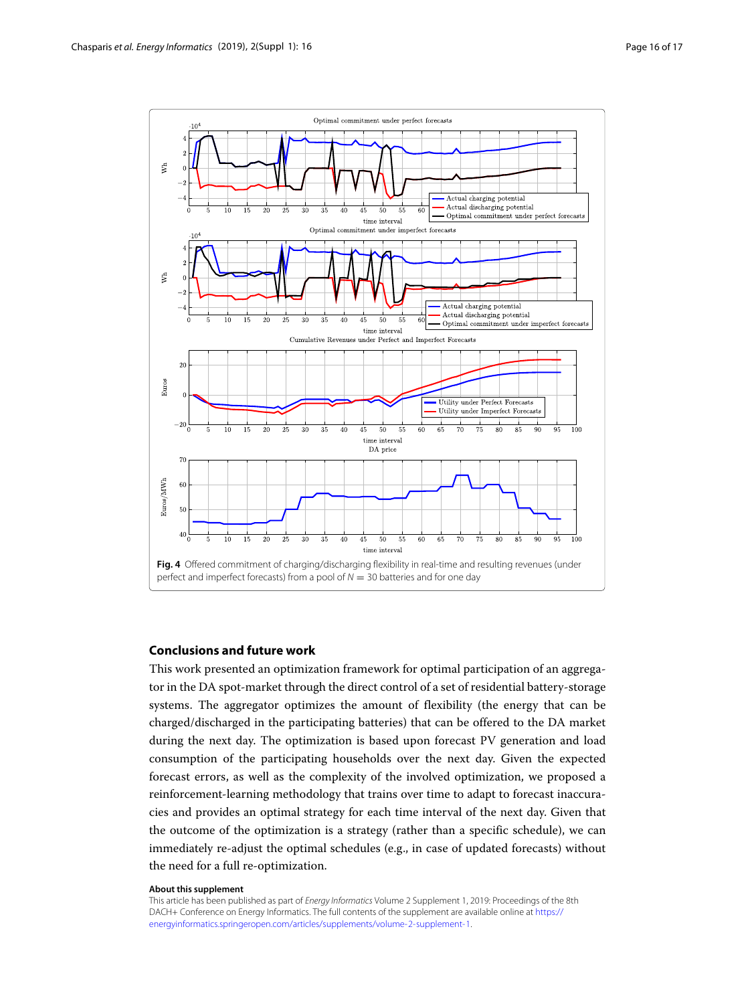

### <span id="page-15-1"></span><span id="page-15-0"></span>**Conclusions and future work**

This work presented an optimization framework for optimal participation of an aggregator in the DA spot-market through the direct control of a set of residential battery-storage systems. The aggregator optimizes the amount of flexibility (the energy that can be charged/discharged in the participating batteries) that can be offered to the DA market during the next day. The optimization is based upon forecast PV generation and load consumption of the participating households over the next day. Given the expected forecast errors, as well as the complexity of the involved optimization, we proposed a reinforcement-learning methodology that trains over time to adapt to forecast inaccuracies and provides an optimal strategy for each time interval of the next day. Given that the outcome of the optimization is a strategy (rather than a specific schedule), we can immediately re-adjust the optimal schedules (e.g., in case of updated forecasts) without the need for a full re-optimization.

#### **About this supplement**

This article has been published as part of Energy Informatics Volume 2 Supplement 1, 2019: Proceedings of the 8th DACH+ Conference on Energy Informatics. The full contents of the supplement are available online at [https://](https://energyinformatics.springeropen.com/articles/supplements/volume-2-supplement-1) [energyinformatics.springeropen.com/articles/supplements/volume-2-supplement-1.](https://energyinformatics.springeropen.com/articles/supplements/volume-2-supplement-1)